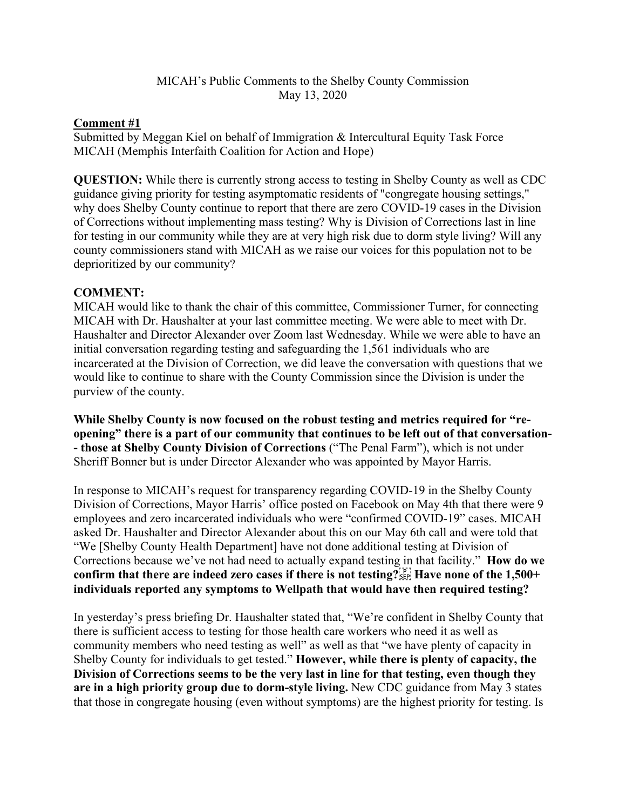## MICAH's Public Comments to the Shelby County Commission May 13, 2020

## **Comment #1**

Submitted by Meggan Kiel on behalf of Immigration & Intercultural Equity Task Force MICAH (Memphis Interfaith Coalition for Action and Hope)

**QUESTION:** While there is currently strong access to testing in Shelby County as well as CDC guidance giving priority for testing asymptomatic residents of "congregate housing settings," why does Shelby County continue to report that there are zero COVID-19 cases in the Division of Corrections without implementing mass testing? Why is Division of Corrections last in line for testing in our community while they are at very high risk due to dorm style living? Will any county commissioners stand with MICAH as we raise our voices for this population not to be deprioritized by our community?

## **COMMENT:**

MICAH would like to thank the chair of this committee, Commissioner Turner, for connecting MICAH with Dr. Haushalter at your last committee meeting. We were able to meet with Dr. Haushalter and Director Alexander over Zoom last Wednesday. While we were able to have an initial conversation regarding testing and safeguarding the 1,561 individuals who are incarcerated at the Division of Correction, we did leave the conversation with questions that we would like to continue to share with the County Commission since the Division is under the purview of the county.

**While Shelby County is now focused on the robust testing and metrics required for "reopening" there is a part of our community that continues to be left out of that conversation- - those at Shelby County Division of Corrections** ("The Penal Farm"), which is not under Sheriff Bonner but is under Director Alexander who was appointed by Mayor Harris.

In response to MICAH's request for transparency regarding COVID-19 in the Shelby County Division of Corrections, Mayor Harris' office posted on Facebook on May 4th that there were 9 employees and zero incarcerated individuals who were "confirmed COVID-19" cases. MICAH asked Dr. Haushalter and Director Alexander about this on our May 6th call and were told that "We [Shelby County Health Department] have not done additional testing at Division of Corrections because we've not had need to actually expand testing in that facility." **How do we**  confirm that there are indeed zero cases if there is not testing?<sup>[pr]</sup> Have none of the 1,500+ **individuals reported any symptoms to Wellpath that would have then required testing?**

In yesterday's press briefing Dr. Haushalter stated that, "We're confident in Shelby County that there is sufficient access to testing for those health care workers who need it as well as community members who need testing as well" as well as that "we have plenty of capacity in Shelby County for individuals to get tested." **However, while there is plenty of capacity, the Division of Corrections seems to be the very last in line for that testing, even though they are in a high priority group due to dorm-style living.** New CDC guidance from May 3 states that those in congregate housing (even without symptoms) are the highest priority for testing. Is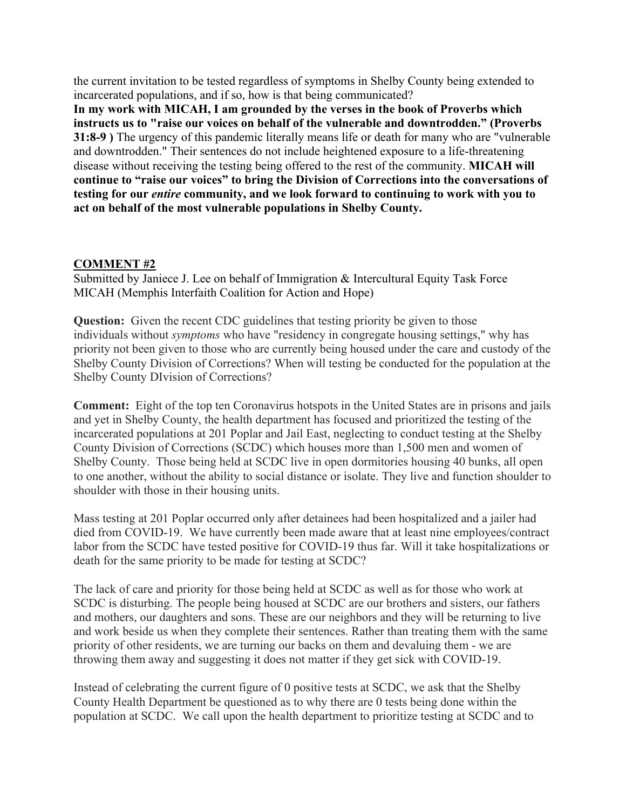the current invitation to be tested regardless of symptoms in Shelby County being extended to incarcerated populations, and if so, how is that being communicated?

**In my work with MICAH, I am grounded by the verses in the book of Proverbs which instructs us to "raise our voices on behalf of the vulnerable and downtrodden." (Proverbs 31:8-9 )** The urgency of this pandemic literally means life or death for many who are "vulnerable and downtrodden." Their sentences do not include heightened exposure to a life-threatening disease without receiving the testing being offered to the rest of the community. **MICAH will continue to "raise our voices" to bring the Division of Corrections into the conversations of testing for our** *entire* **community, and we look forward to continuing to work with you to act on behalf of the most vulnerable populations in Shelby County.**

## **COMMENT #2**

Submitted by Janiece J. Lee on behalf of Immigration & Intercultural Equity Task Force MICAH (Memphis Interfaith Coalition for Action and Hope)

**Question:** Given the recent CDC guidelines that testing priority be given to those individuals without *symptoms* who have "residency in congregate housing settings," why has priority not been given to those who are currently being housed under the care and custody of the Shelby County Division of Corrections? When will testing be conducted for the population at the Shelby County DIvision of Corrections?

**Comment:** Eight of the top ten Coronavirus hotspots in the United States are in prisons and jails and yet in Shelby County, the health department has focused and prioritized the testing of the incarcerated populations at 201 Poplar and Jail East, neglecting to conduct testing at the Shelby County Division of Corrections (SCDC) which houses more than 1,500 men and women of Shelby County. Those being held at SCDC live in open dormitories housing 40 bunks, all open to one another, without the ability to social distance or isolate. They live and function shoulder to shoulder with those in their housing units.

Mass testing at 201 Poplar occurred only after detainees had been hospitalized and a jailer had died from COVID-19. We have currently been made aware that at least nine employees/contract labor from the SCDC have tested positive for COVID-19 thus far. Will it take hospitalizations or death for the same priority to be made for testing at SCDC?

The lack of care and priority for those being held at SCDC as well as for those who work at SCDC is disturbing. The people being housed at SCDC are our brothers and sisters, our fathers and mothers, our daughters and sons. These are our neighbors and they will be returning to live and work beside us when they complete their sentences. Rather than treating them with the same priority of other residents, we are turning our backs on them and devaluing them - we are throwing them away and suggesting it does not matter if they get sick with COVID-19.

Instead of celebrating the current figure of 0 positive tests at SCDC, we ask that the Shelby County Health Department be questioned as to why there are 0 tests being done within the population at SCDC. We call upon the health department to prioritize testing at SCDC and to